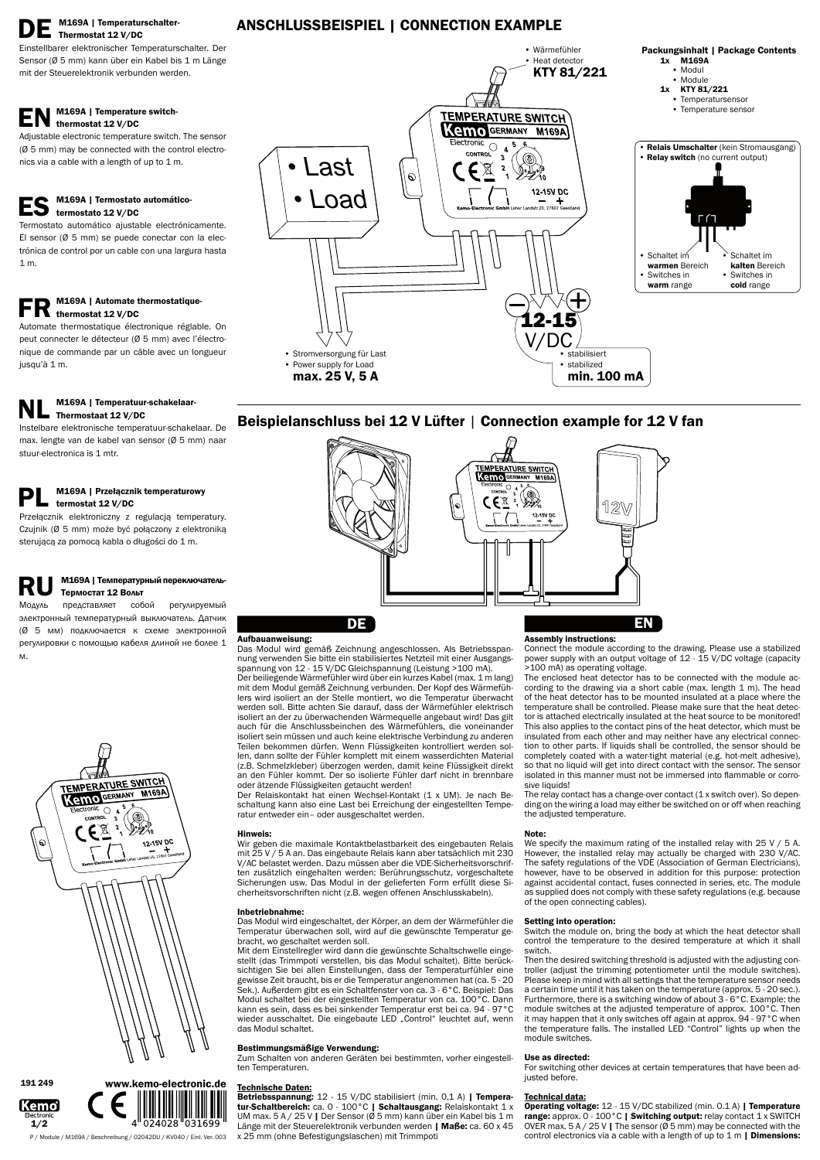# M169A | Temperaturschalter-Thermostat 12 V/DC

### M169A | Temperature switchthermostat 12 V/DC

Adjustable electronic temperature switch. The sensor (Ø 5 mm) may be connected with the control electronics via a cable with a length of up to 1 m.

Einstellbarer elektronischer Temperaturschalter. Der Sensor (Ø 5 mm) kann über ein Kabel bis 1 m Länge mit der Steuerelektronik verbunden werden.

## M169A | Termostato automáticotermostato 12 V/DC

# M169A | Automate thermostatiquethermostat 12 V/DC

# M169A | Temperatuur-schakelaar-Thermostaat 12 V/DC

Instelbare elektronische temperatuur-schakelaar. De max. lengte van de kabel van sensor (Ø 5 mm) naar stuur-electronica is 1 mtr.

# M169A | Przełącznik temperaturowy termostat 12 V/DC

Termostato automático ajustable electrónicamente. El sensor (Ø 5 mm) se puede conectar con la electrónica de control por un cable con una largura hasta 1 m.

# **RU M169A | Температурный переключатель-**<br>Модуль представляет собой регулируемый Тeрмостaт 12 Вольт

прeдставляeт собой элeктронный тeмпeрaтурный выключaтeль. Дaтчик (Ø 5 мм) подключaeтся к схeмe элeктронной рeгулировки с помощью кaбeля длиной нe болеe 1 м.



Automate thermostatique électronique réglable. On peut connecter le détecteur (Ø 5 mm) avec l'électronique de commande par un câble avec un longueur jusqu'à 1 m.

Przełącznik elektroniczny z regulacją temperatury. Czujnik (Ø 5 mm) może być połączony z elektroniką sterującą za pomocą kabla o długości do 1 m.

## Aufbauanweisung:

Das Modul wird gemäß Zeichnung angeschlossen. Als Betriebsspannung verwenden Sie bitte ein stabilisiertes Netzteil mit einer Ausgangsspannung von 12 - 15 V/DC Gleichspannung (Leistung >100 mA).

Der beiliegende Wärmefühler wird über ein kurzes Kabel (max. 1 m lang) mit dem Modul gemäß Zeichnung verbunden. Der Kopf des Wärmefühlers wird isoliert an der Stelle montiert, wo die Temperatur überwacht werden soll. Bitte achten Sie darauf, dass der Wärmefühler elektrisch isoliert an der zu überwachenden Wärmequelle angebaut wird! Das gilt auch für die Anschlussbeinchen des Wärmefühlers, die voneinander isoliert sein müssen und auch keine elektrische Verbindung zu anderen Teilen bekommen dürfen. Wenn Flüssigkeiten kontrolliert werden sollen, dann sollte der Fühler komplett mit einem wasserdichten Material (z.B. Schmelzkleber) überzogen werden, damit keine Flüssigkeit direkt an den Fühler kommt. Der so isolierte Fühler darf nicht in brennbare oder ätzende Flüssigkeiten getaucht werden!

Betriebsspannung: 12 - 15 V/DC stabilisiert (min. 0,1 A) | Temperatur-Schaltbereich: ca. 0 - 100°C | Schaltausgang: Relaiskontakt 1 x UM max. 5 A / 25 V | Der Sensor (Ø 5 mm) kann über ein Kabel bis 1 m Länge mit der Steuerelektronik verbunden werden | Maße: ca. 60 x 45 x 25 mm (ohne Befestigungslaschen) mit Trimmpoti

Der Relaiskontakt hat einen Wechsel-Kontakt (1 x UM). Je nach Beschaltung kann also eine Last bei Erreichung der eingestellten Temperatur entweder ein– oder ausgeschaltet werden.

## Hinweis:

Wir geben die maximale Kontaktbelastbarkeit des eingebauten Relais mit 25 V / 5 A an. Das eingebaute Relais kann aber tatsächlich mit 230 V/AC belastet werden. Dazu müssen aber die VDE-Sicherheitsvorschriften zusätzlich eingehalten werden: Berührungsschutz, vorgeschaltete Sicherungen usw. Das Modul in der gelieferten Form erfüllt diese Sicherheitsvorschriften nicht (z.B. wegen offenen Anschlusskabeln).

We specify the maximum rating of the installed relay with 25 V / 5 A. However, the installed relay may actually be charged with 230 V/AC. The safety regulations of the VDE (Association of German Electricians), however, have to be observed in addition for this purpose: protection against accidental contact, fuses connected in series, etc. The module as supplied does not comply with these safety regulations (e.g. because of the open connecting cables).

#### Inbetriebnahme:

Das Modul wird eingeschaltet, der Körper, an dem der Wärmefühler die Temperatur überwachen soll, wird auf die gewünschte Temperatur gebracht, wo geschaltet werden soll.

> Operating voltage: 12 - 15 V/DC stabilized (min. 0.1 A) | Temperature range: approx. 0 - 100°C | Switching output: relay contact 1 x SWITCH OVER max.  $5 A / 25 V$  | The sensor ( $\varnothing 5$  mm) may be connected with the control electronics via a cable with a length of up to  $1 \text{ m}$  | Dimensions:

Mit dem Einstellregler wird dann die gewünschte Schaltschwelle eingestellt (das Trimmpoti verstellen, bis das Modul schaltet). Bitte berücksichtigen Sie bei allen Einstellungen, dass der Temperaturfühler eine gewisse Zeit braucht, bis er die Temperatur angenommen hat (ca. 5 - 20 Sek.). Außerdem gibt es ein Schaltfenster von ca. 3 - 6°C. Beispiel: Das Modul schaltet bei der eingestellten Temperatur von ca. 100°C. Dann kann es sein, dass es bei sinkender Temperatur erst bei ca. 94 - 97°C wieder ausschaltet. Die eingebaute LED "Control" leuchtet auf, wenn das Modul schaltet.

### Bestimmungsmäßige Verwendung:

Zum Schalten von anderen Geräten bei bestimmten, vorher eingestellten Temperaturen.

#### Technische Daten:

#### Assembly instructions:

Connect the module according to the drawing. Please use a stabilized power supply with an output voltage of 12 - 15 V/DC voltage (capacity >100 mA) as operating voltage.

The enclosed heat detector has to be connected with the module according to the drawing via a short cable (max. length 1 m). The head of the heat detector has to be mounted insulated at a place where the temperature shall be controlled. Please make sure that the heat detector is attached electrically insulated at the heat source to be monitored! This also applies to the contact pins of the heat detector, which must be insulated from each other and may neither have any electrical connection to other parts. If liquids shall be controlled, the sensor should be completely coated with a water-tight material (e.g. hot-melt adhesive), so that no liquid will get into direct contact with the sensor. The sensor isolated in this manner must not be immersed into flammable or corrosive liquids!

The relay contact has a change-over contact (1 x switch over). So depending on the wiring a load may either be switched on or off when reaching the adjusted temperature.

#### Note:

#### Setting into operation:

Switch the module on, bring the body at which the heat detector shall control the temperature to the desired temperature at which it shall switch.



Then the desired switching threshold is adjusted with the adjusting controller (adjust the trimming potentiometer until the module switches). Please keep in mind with all settings that the temperature sensor needs a certain time until it has taken on the temperature (approx. 5 - 20 sec.). Furthermore, there is a switching window of about 3 - 6°C. Example: the module switches at the adjusted temperature of approx. 100°C. Then it may happen that it only switches off again at approx. 94 - 97°C when the temperature falls. The installed LED "Control" lights up when the module switches.

#### Use as directed:

For switching other devices at certain temperatures that have been adjusted before.

#### Technical data:

# ANSCHLUSSBEISPIEL | CONNECTION EXAMPLE

P / Module / M169A / Beschreibung / 02042DU / KV040 / Einl. Ver. 003





191 249



# Beispielanschluss bei 12 V Lüfter | Connection example for 12 V fan